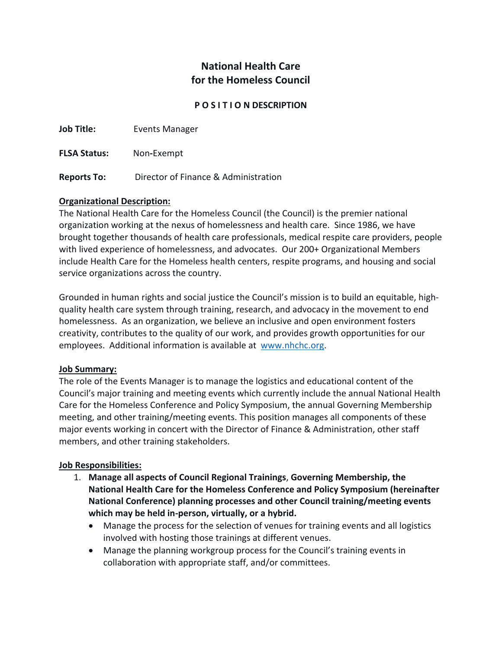# **National Health Care for the Homeless Council**

#### **P O S I T I O N DESCRIPTION**

**Job Title:** Events Manager

**FLSA Status:** Non**-**Exempt

**Reports To:** Director of Finance & Administration

### **Organizational Description:**

The National Health Care for the Homeless Council (the Council) is the premier national organization working at the nexus of homelessness and health care. Since 1986, we have brought together thousands of health care professionals, medical respite care providers, people with lived experience of homelessness, and advocates. Our 200+ Organizational Members include Health Care for the Homeless health centers, respite programs, and housing and social service organizations across the country.

Grounded in human rights and social justice the Council's mission is to build an equitable, highquality health care system through training, research, and advocacy in the movement to end homelessness. As an organization, we believe an inclusive and open environment fosters creativity, contributes to the quality of our work, and provides growth opportunities for our employees. Additional information is available at [www.nhchc.org.](http://www.nhchc.org/)

#### **Job Summary:**

The role of the Events Manager is to manage the logistics and educational content of the Council's major training and meeting events which currently include the annual National Health Care for the Homeless Conference and Policy Symposium, the annual Governing Membership meeting, and other training/meeting events. This position manages all components of these major events working in concert with the Director of Finance & Administration, other staff members, and other training stakeholders.

#### **Job Responsibilities:**

- 1. **Manage all aspects of Council Regional Trainings**, **Governing Membership, the National Health Care for the Homeless Conference and Policy Symposium (hereinafter National Conference) planning processes and other Council training/meeting events which may be held in-person, virtually, or a hybrid.**
	- Manage the process for the selection of venues for training events and all logistics involved with hosting those trainings at different venues.
	- Manage the planning workgroup process for the Council's training events in collaboration with appropriate staff, and/or committees.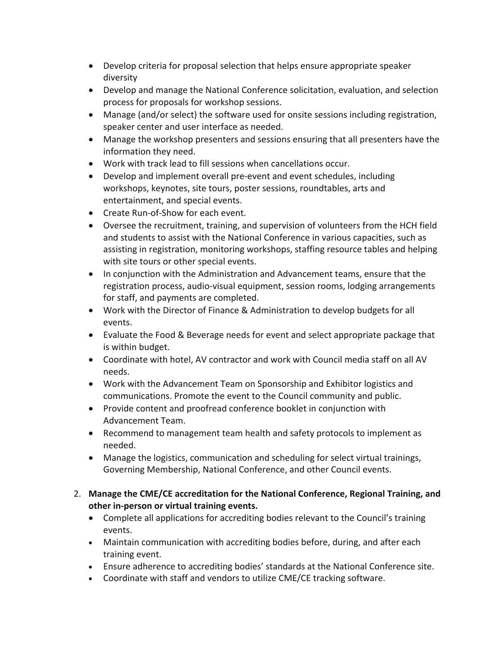- Develop criteria for proposal selection that helps ensure appropriate speaker diversity
- Develop and manage the National Conference solicitation, evaluation, and selection process for proposals for workshop sessions.
- Manage (and/or select) the software used for onsite sessions including registration, speaker center and user interface as needed.
- Manage the workshop presenters and sessions ensuring that all presenters have the information they need.
- Work with track lead to fill sessions when cancellations occur.
- Develop and implement overall pre-event and event schedules, including workshops, keynotes, site tours, poster sessions, roundtables, arts and entertainment, and special events.
- Create Run-of-Show for each event.
- Oversee the recruitment, training, and supervision of volunteers from the HCH field and students to assist with the National Conference in various capacities, such as assisting in registration, monitoring workshops, staffing resource tables and helping with site tours or other special events.
- In conjunction with the Administration and Advancement teams, ensure that the registration process, audio-visual equipment, session rooms, lodging arrangements for staff, and payments are completed.
- Work with the Director of Finance & Administration to develop budgets for all events.
- Evaluate the Food & Beverage needs for event and select appropriate package that is within budget.
- Coordinate with hotel, AV contractor and work with Council media staff on all AV needs.
- Work with the Advancement Team on Sponsorship and Exhibitor logistics and communications. Promote the event to the Council community and public.
- Provide content and proofread conference booklet in conjunction with Advancement Team.
- Recommend to management team health and safety protocols to implement as needed.
- Manage the logistics, communication and scheduling for select virtual trainings, Governing Membership, National Conference, and other Council events.
- 2. **Manage the CME/CE accreditation for the National Conference, Regional Training, and other in-person or virtual training events.**
	- Complete all applications for accrediting bodies relevant to the Council's training events.
	- Maintain communication with accrediting bodies before, during, and after each training event.
	- Ensure adherence to accrediting bodies' standards at the National Conference site.
	- Coordinate with staff and vendors to utilize CME/CE tracking software.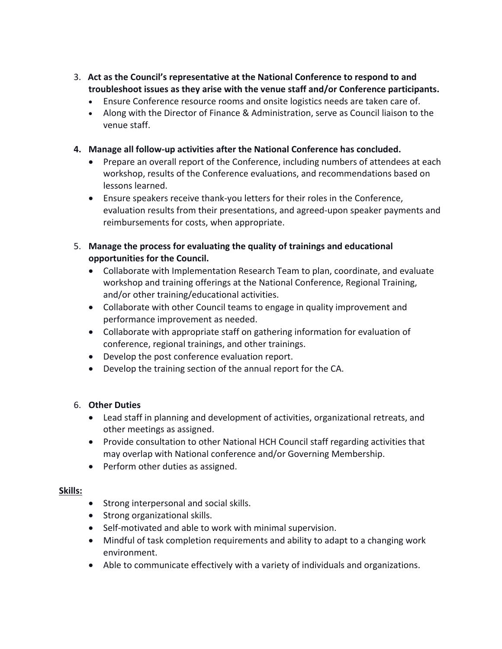- 3. **Act as the Council's representative at the National Conference to respond to and troubleshoot issues as they arise with the venue staff and/or Conference participants.**
	- Ensure Conference resource rooms and onsite logistics needs are taken care of.
	- Along with the Director of Finance & Administration, serve as Council liaison to the venue staff.
- **4. Manage all follow-up activities after the National Conference has concluded.**
	- Prepare an overall report of the Conference, including numbers of attendees at each workshop, results of the Conference evaluations, and recommendations based on lessons learned.
	- Ensure speakers receive thank-you letters for their roles in the Conference, evaluation results from their presentations, and agreed-upon speaker payments and reimbursements for costs, when appropriate.
- 5. **Manage the process for evaluating the quality of trainings and educational opportunities for the Council.**
	- Collaborate with Implementation Research Team to plan, coordinate, and evaluate workshop and training offerings at the National Conference, Regional Training, and/or other training/educational activities.
	- Collaborate with other Council teams to engage in quality improvement and performance improvement as needed.
	- Collaborate with appropriate staff on gathering information for evaluation of conference, regional trainings, and other trainings.
	- Develop the post conference evaluation report.
	- Develop the training section of the annual report for the CA.

# 6. **Other Duties**

- Lead staff in planning and development of activities, organizational retreats, and other meetings as assigned.
- Provide consultation to other National HCH Council staff regarding activities that may overlap with National conference and/or Governing Membership.
- Perform other duties as assigned.

# **Skills:**

- Strong interpersonal and social skills.
- Strong organizational skills.
- Self-motivated and able to work with minimal supervision.
- Mindful of task completion requirements and ability to adapt to a changing work environment.
- Able to communicate effectively with a variety of individuals and organizations.